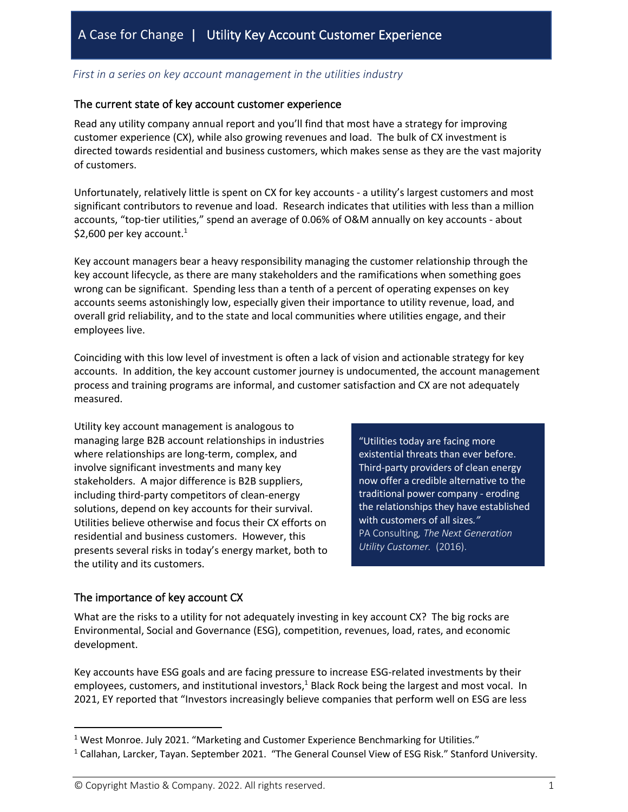## *First in a series on key account management in the utilities industry*

#### The current state of key account customer experience

Read any utility company annual report and you'll find that most have a strategy for improving customer experience (CX), while also growing revenues and load. The bulk of CX investment is directed towards residential and business customers, which makes sense as they are the vast majority of customers.

Unfortunately, relatively little is spent on CX for key accounts - a utility's largest customers and most significant contributors to revenue and load. Research indicates that utilities with less than a million accounts, "top-tier utilities," spend an average of 0.06% of O&M annually on key accounts - about \$2,600 per key account.<sup>1</sup>

Key account managers bear a heavy responsibility managing the customer relationship through the key account lifecycle, as there are many stakeholders and the ramifications when something goes wrong can be significant. Spending less than a tenth of a percent of operating expenses on key accounts seems astonishingly low, especially given their importance to utility revenue, load, and overall grid reliability, and to the state and local communities where utilities engage, and their employees live.

Coinciding with this low level of investment is often a lack of vision and actionable strategy for key accounts. In addition, the key account customer journey is undocumented, the account management process and training programs are informal, and customer satisfaction and CX are not adequately measured.

Utility key account management is analogous to managing large B2B account relationships in industries where relationships are long-term, complex, and involve significant investments and many key stakeholders. A major difference is B2B suppliers, including third-party competitors of clean-energy solutions, depend on key accounts for their survival. Utilities believe otherwise and focus their CX efforts on residential and business customers. However, this presents several risks in today's energy market, both to the utility and its customers.

"Utilities today are facing more existential threats than ever before. Third-party providers of clean energy now offer a credible alternative to the traditional power company - eroding the relationships they have established with customers of all sizes*."* PA Consulting*, The Next Generation Utility Customer.* (2016).

## The importance of key account CX

What are the risks to a utility for not adequately investing in key account CX? The big rocks are Environmental, Social and Governance (ESG), competition, revenues, load, rates, and economic development.

Key accounts have ESG goals and are facing pressure to increase ESG-related investments by their employees, customers, and institutional investors,<sup>1</sup> Black Rock being the largest and most vocal. In 2021, EY reported that "Investors increasingly believe companies that perform well on ESG are less

<sup>1</sup> West Monroe. July 2021. "Marketing and Customer Experience Benchmarking for Utilities."

<sup>1</sup> Callahan, Larcker, Tayan. September 2021. "The General Counsel View of ESG Risk." Stanford University.

<sup>©</sup> Copyright Mastio & Company. 2022. All rights reserved. 1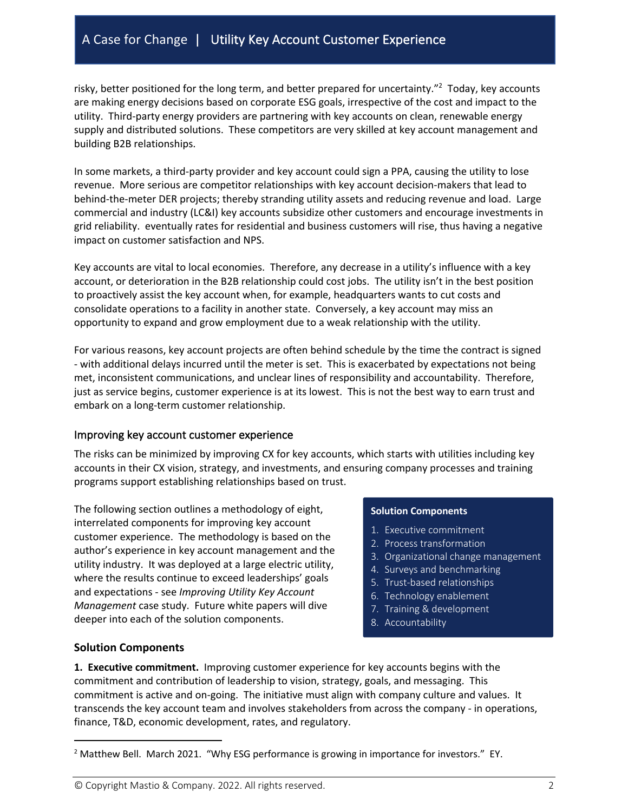# A Case for Change | Utility Key Account Customer Experience

risky, better positioned for the long term, and better prepared for uncertainty."<sup>2</sup> Today, key accounts are making energy decisions based on corporate ESG goals, irrespective of the cost and impact to the utility. Third-party energy providers are partnering with key accounts on clean, renewable energy supply and distributed solutions. These competitors are very skilled at key account management and building B2B relationships.

In some markets, a third-party provider and key account could sign a PPA, causing the utility to lose revenue. More serious are competitor relationships with key account decision-makers that lead to behind-the-meter DER projects; thereby stranding utility assets and reducing revenue and load. Large commercial and industry (LC&I) key accounts subsidize other customers and encourage investments in grid reliability. eventually rates for residential and business customers will rise, thus having a negative impact on customer satisfaction and NPS.

Key accounts are vital to local economies. Therefore, any decrease in a utility's influence with a key account, or deterioration in the B2B relationship could cost jobs. The utility isn't in the best position to proactively assist the key account when, for example, headquarters wants to cut costs and consolidate operations to a facility in another state. Conversely, a key account may miss an opportunity to expand and grow employment due to a weak relationship with the utility.

For various reasons, key account projects are often behind schedule by the time the contract is signed - with additional delays incurred until the meter is set. This is exacerbated by expectations not being met, inconsistent communications, and unclear lines of responsibility and accountability. Therefore, just as service begins, customer experience is at its lowest. This is not the best way to earn trust and embark on a long-term customer relationship.

## Improving key account customer experience

The risks can be minimized by improving CX for key accounts, which starts with utilities including key accounts in their CX vision, strategy, and investments, and ensuring company processes and training programs support establishing relationships based on trust.

The following section outlines a methodology of eight, interrelated components for improving key account customer experience. The methodology is based on the author's experience in key account management and the utility industry. It was deployed at a large electric utility, where the results continue to exceed leaderships' goals and expectations - see *Improving Utility Key Account Management* case study. Future white papers will dive deeper into each of the solution components.

#### **Solution Components**

- 1. Executive commitment
- 2. Process transformation
- 3. Organizational change management
- 4. Surveys and benchmarking
- 5. Trust-based relationships
- 6. Technology enablement
- 7. Training & development
- 8. Accountability

## **Solution Components**

**1. Executive commitment.** Improving customer experience for key accounts begins with the commitment and contribution of leadership to vision, strategy, goals, and messaging. This commitment is active and on-going. The initiative must align with company culture and values. It transcends the key account team and involves stakeholders from across the company - in operations, finance, T&D, economic development, rates, and regulatory.

© Copyright Mastio & Company. 2022. All rights reserved. 2

<sup>&</sup>lt;sup>2</sup> Matthew Bell. March 2021. "Why ESG performance is growing in importance for investors." EY.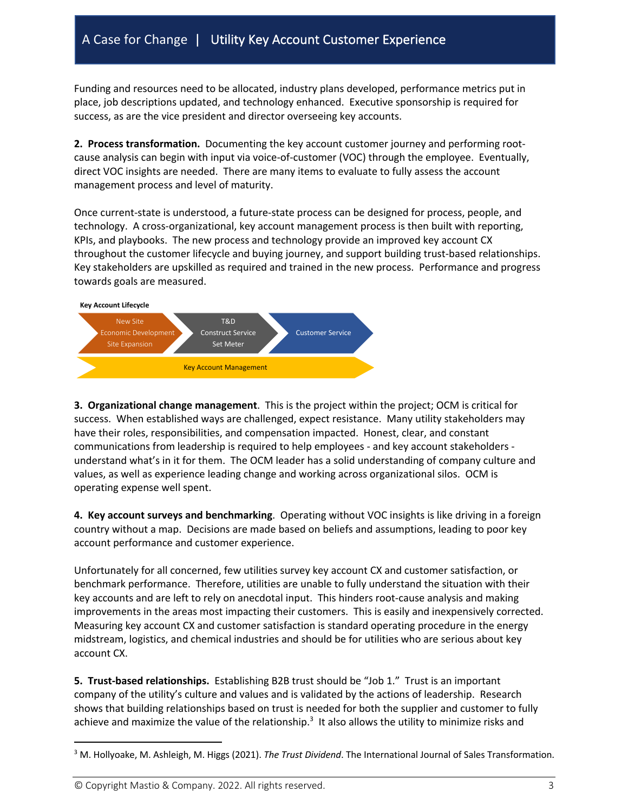# A Case for Change | Utility Key Account Customer Experience

Funding and resources need to be allocated, industry plans developed, performance metrics put in place, job descriptions updated, and technology enhanced. Executive sponsorship is required for success, as are the vice president and director overseeing key accounts.

**2. Process transformation.** Documenting the key account customer journey and performing rootcause analysis can begin with input via voice-of-customer (VOC) through the employee. Eventually, direct VOC insights are needed. There are many items to evaluate to fully assess the account management process and level of maturity.

Once current-state is understood, a future-state process can be designed for process, people, and technology. A cross-organizational, key account management process is then built with reporting, KPIs, and playbooks. The new process and technology provide an improved key account CX throughout the customer lifecycle and buying journey, and support building trust-based relationships. Key stakeholders are upskilled as required and trained in the new process. Performance and progress towards goals are measured.



**3. Organizational change management**. This is the project within the project; OCM is critical for success. When established ways are challenged, expect resistance. Many utility stakeholders may have their roles, responsibilities, and compensation impacted. Honest, clear, and constant communications from leadership is required to help employees - and key account stakeholders understand what's in it for them. The OCM leader has a solid understanding of company culture and values, as well as experience leading change and working across organizational silos. OCM is operating expense well spent.

**4. Key account surveys and benchmarking**. Operating without VOC insights is like driving in a foreign country without a map. Decisions are made based on beliefs and assumptions, leading to poor key account performance and customer experience.

Unfortunately for all concerned, few utilities survey key account CX and customer satisfaction, or benchmark performance. Therefore, utilities are unable to fully understand the situation with their key accounts and are left to rely on anecdotal input. This hinders root-cause analysis and making improvements in the areas most impacting their customers. This is easily and inexpensively corrected. Measuring key account CX and customer satisfaction is standard operating procedure in the energy midstream, logistics, and chemical industries and should be for utilities who are serious about key account CX.

**5. Trust-based relationships.** Establishing B2B trust should be "Job 1." Trust is an important company of the utility's culture and values and is validated by the actions of leadership. Research shows that building relationships based on trust is needed for both the supplier and customer to fully achieve and maximize the value of the relationship.<sup>3</sup> It also allows the utility to minimize risks and

© Copyright Mastio & Company. 2022. All rights reserved. 3

<sup>3</sup> M. Hollyoake, M. Ashleigh, M. Higgs (2021). *The Trust Dividend*. The International Journal of Sales Transformation.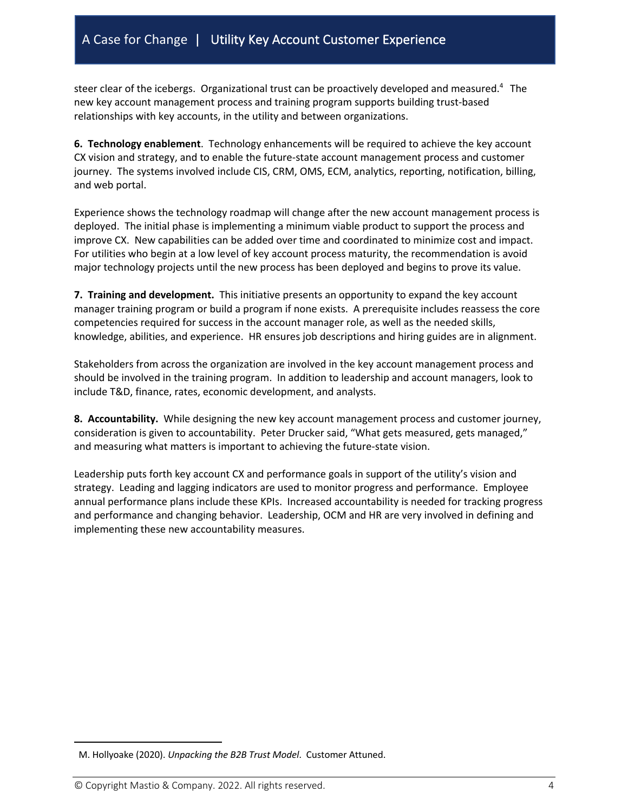# A Case for Change | Utility Key Account Customer Experience

steer clear of the icebergs. Organizational trust can be proactively developed and measured.<sup>4</sup> The new key account management process and training program supports building trust-based relationships with key accounts, in the utility and between organizations.

**6. Technology enablement**. Technology enhancements will be required to achieve the key account CX vision and strategy, and to enable the future-state account management process and customer journey. The systems involved include CIS, CRM, OMS, ECM, analytics, reporting, notification, billing, and web portal.

Experience shows the technology roadmap will change after the new account management process is deployed. The initial phase is implementing a minimum viable product to support the process and improve CX. New capabilities can be added over time and coordinated to minimize cost and impact. For utilities who begin at a low level of key account process maturity, the recommendation is avoid major technology projects until the new process has been deployed and begins to prove its value.

**7. Training and development.** This initiative presents an opportunity to expand the key account manager training program or build a program if none exists. A prerequisite includes reassess the core competencies required for success in the account manager role, as well as the needed skills, knowledge, abilities, and experience. HR ensures job descriptions and hiring guides are in alignment.

Stakeholders from across the organization are involved in the key account management process and should be involved in the training program. In addition to leadership and account managers, look to include T&D, finance, rates, economic development, and analysts.

**8. Accountability.** While designing the new key account management process and customer journey, consideration is given to accountability. Peter Drucker said, "What gets measured, gets managed," and measuring what matters is important to achieving the future-state vision.

Leadership puts forth key account CX and performance goals in support of the utility's vision and strategy. Leading and lagging indicators are used to monitor progress and performance. Employee annual performance plans include these KPIs. Increased accountability is needed for tracking progress and performance and changing behavior. Leadership, OCM and HR are very involved in defining and implementing these new accountability measures.

M. Hollyoake (2020). *Unpacking the B2B Trust Model*. Customer Attuned.

<sup>©</sup> Copyright Mastio & Company. 2022. All rights reserved. 4